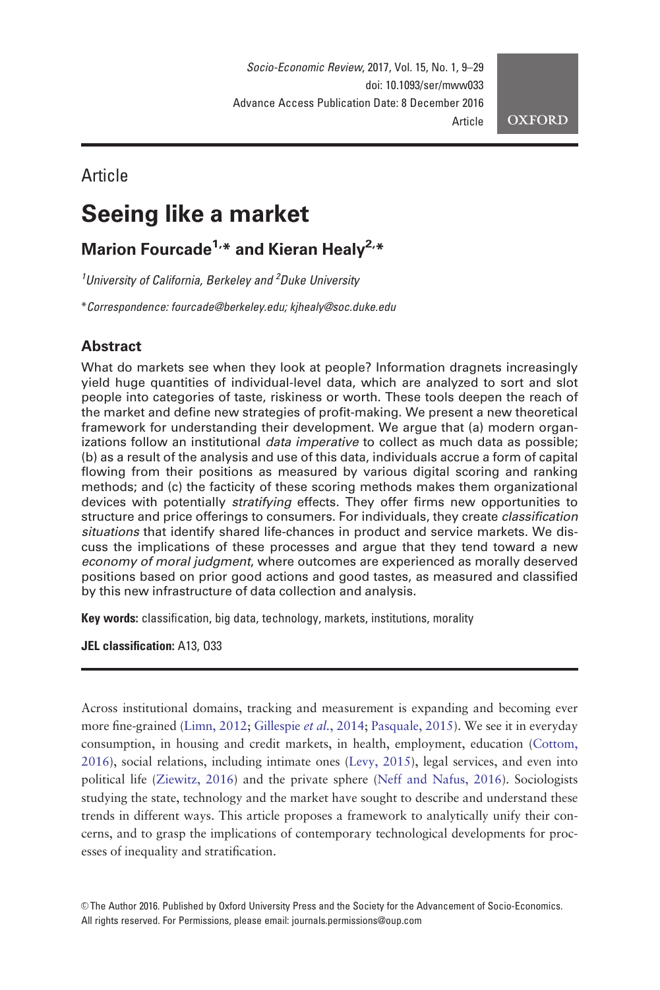Socio-Economic Review, 2017, Vol. 15, No. 1, 9–29 doi: 10.1093/ser/mww033 Advance Access Publication Date: 8 December 2016 Article

**OXFORD** 

Article

# Seeing like a market

Marion Fourcade<sup>1,\*</sup> and Kieran Healy<sup>2,\*</sup>

<sup>1</sup> University of California, Berkeley and <sup>2</sup> Duke University

\*Correspondence: fourcade@berkeley.edu; kjhealy@soc.duke.edu

# **Abstract**

What do markets see when they look at people? Information dragnets increasingly yield huge quantities of individual-level data, which are analyzed to sort and slot people into categories of taste, riskiness or worth. These tools deepen the reach of the market and define new strategies of profit-making. We present a new theoretical framework for understanding their development. We argue that (a) modern organizations follow an institutional *data imperative* to collect as much data as possible; (b) as a result of the analysis and use of this data, individuals accrue a form of capital flowing from their positions as measured by various digital scoring and ranking methods; and (c) the facticity of these scoring methods makes them organizational devices with potentially stratifying effects. They offer firms new opportunities to structure and price offerings to consumers. For individuals, they create *classification* situations that identify shared life-chances in product and service markets. We discuss the implications of these processes and argue that they tend toward a new economy of moral judgment, where outcomes are experienced as morally deserved positions based on prior good actions and good tastes, as measured and classified by this new infrastructure of data collection and analysis.

Key words: classification, big data, technology, markets, institutions, morality

JEL classification: A13, O33

Across institutional domains, tracking and measurement is expanding and becoming ever more fine-grained [\(Limn, 2012;](#page-18-0) [Gillespie](#page-18-0) et al., 2014; [Pasquale, 2015](#page-19-0)). We see it in everyday consumption, in housing and credit markets, in health, employment, education [\(Cottom,](#page-17-0) [2016](#page-17-0)), social relations, including intimate ones ([Levy, 2015\)](#page-18-0), legal services, and even into political life ([Ziewitz, 2016\)](#page-19-0) and the private sphere [\(Neff and Nafus, 2016\)](#page-19-0). Sociologists studying the state, technology and the market have sought to describe and understand these trends in different ways. This article proposes a framework to analytically unify their concerns, and to grasp the implications of contemporary technological developments for processes of inequality and stratification.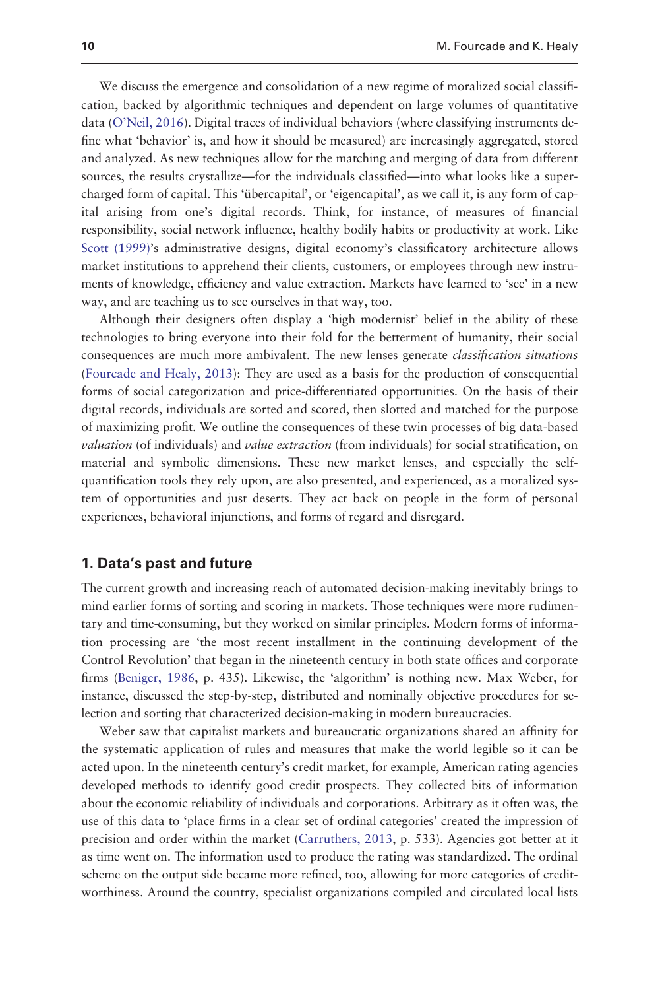We discuss the emergence and consolidation of a new regime of moralized social classification, backed by algorithmic techniques and dependent on large volumes of quantitative data [\(O'Neil, 2016](#page-19-0)). Digital traces of individual behaviors (where classifying instruments define what 'behavior' is, and how it should be measured) are increasingly aggregated, stored and analyzed. As new techniques allow for the matching and merging of data from different sources, the results crystallize—for the individuals classified—into what looks like a supercharged form of capital. This 'übercapital', or 'eigencapital', as we call it, is any form of capital arising from one's digital records. Think, for instance, of measures of financial responsibility, social network influence, healthy bodily habits or productivity at work. Like [Scott \(1999\)'](#page-19-0)s administrative designs, digital economy's classificatory architecture allows market institutions to apprehend their clients, customers, or employees through new instruments of knowledge, efficiency and value extraction. Markets have learned to 'see' in a new way, and are teaching us to see ourselves in that way, too.

Although their designers often display a 'high modernist' belief in the ability of these technologies to bring everyone into their fold for the betterment of humanity, their social consequences are much more ambivalent. The new lenses generate classification situations [\(Fourcade and Healy, 2013](#page-18-0)): They are used as a basis for the production of consequential forms of social categorization and price-differentiated opportunities. On the basis of their digital records, individuals are sorted and scored, then slotted and matched for the purpose of maximizing profit. We outline the consequences of these twin processes of big data-based valuation (of individuals) and value extraction (from individuals) for social stratification, on material and symbolic dimensions. These new market lenses, and especially the selfquantification tools they rely upon, are also presented, and experienced, as a moralized system of opportunities and just deserts. They act back on people in the form of personal experiences, behavioral injunctions, and forms of regard and disregard.

# 1. Data's past and future

The current growth and increasing reach of automated decision-making inevitably brings to mind earlier forms of sorting and scoring in markets. Those techniques were more rudimentary and time-consuming, but they worked on similar principles. Modern forms of information processing are 'the most recent installment in the continuing development of the Control Revolution' that began in the nineteenth century in both state offices and corporate firms [\(Beniger, 1986,](#page-17-0) p. 435). Likewise, the 'algorithm' is nothing new. Max Weber, for instance, discussed the step-by-step, distributed and nominally objective procedures for selection and sorting that characterized decision-making in modern bureaucracies.

Weber saw that capitalist markets and bureaucratic organizations shared an affinity for the systematic application of rules and measures that make the world legible so it can be acted upon. In the nineteenth century's credit market, for example, American rating agencies developed methods to identify good credit prospects. They collected bits of information about the economic reliability of individuals and corporations. Arbitrary as it often was, the use of this data to 'place firms in a clear set of ordinal categories' created the impression of precision and order within the market [\(Carruthers, 2013](#page-17-0), p. 533). Agencies got better at it as time went on. The information used to produce the rating was standardized. The ordinal scheme on the output side became more refined, too, allowing for more categories of creditworthiness. Around the country, specialist organizations compiled and circulated local lists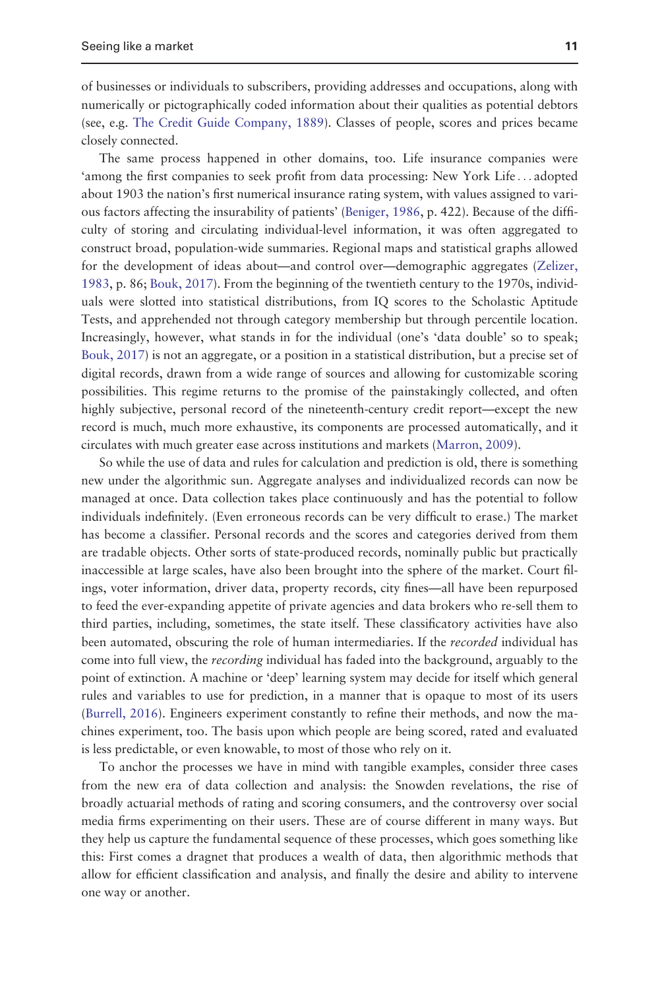of businesses or individuals to subscribers, providing addresses and occupations, along with numerically or pictographically coded information about their qualities as potential debtors (see, e.g. [The Credit Guide Company, 1889](#page-17-0)). Classes of people, scores and prices became closely connected.

The same process happened in other domains, too. Life insurance companies were 'among the first companies to seek profit from data processing: New York Life ... adopted about 1903 the nation's first numerical insurance rating system, with values assigned to various factors affecting the insurability of patients' [\(Beniger, 1986,](#page-17-0) p. 422). Because of the difficulty of storing and circulating individual-level information, it was often aggregated to construct broad, population-wide summaries. Regional maps and statistical graphs allowed for the development of ideas about—and control over—demographic aggregates [\(Zelizer,](#page-20-0) [1983](#page-20-0), p. 86; [Bouk, 2017\)](#page-17-0). From the beginning of the twentieth century to the 1970s, individuals were slotted into statistical distributions, from IQ scores to the Scholastic Aptitude Tests, and apprehended not through category membership but through percentile location. Increasingly, however, what stands in for the individual (one's 'data double' so to speak; [Bouk, 2017](#page-17-0)) is not an aggregate, or a position in a statistical distribution, but a precise set of digital records, drawn from a wide range of sources and allowing for customizable scoring possibilities. This regime returns to the promise of the painstakingly collected, and often highly subjective, personal record of the nineteenth-century credit report—except the new record is much, much more exhaustive, its components are processed automatically, and it circulates with much greater ease across institutions and markets ([Marron, 2009](#page-19-0)).

So while the use of data and rules for calculation and prediction is old, there is something new under the algorithmic sun. Aggregate analyses and individualized records can now be managed at once. Data collection takes place continuously and has the potential to follow individuals indefinitely. (Even erroneous records can be very difficult to erase.) The market has become a classifier. Personal records and the scores and categories derived from them are tradable objects. Other sorts of state-produced records, nominally public but practically inaccessible at large scales, have also been brought into the sphere of the market. Court filings, voter information, driver data, property records, city fines—all have been repurposed to feed the ever-expanding appetite of private agencies and data brokers who re-sell them to third parties, including, sometimes, the state itself. These classificatory activities have also been automated, obscuring the role of human intermediaries. If the *recorded* individual has come into full view, the *recording* individual has faded into the background, arguably to the point of extinction. A machine or 'deep' learning system may decide for itself which general rules and variables to use for prediction, in a manner that is opaque to most of its users [\(Burrell, 2016\)](#page-17-0). Engineers experiment constantly to refine their methods, and now the machines experiment, too. The basis upon which people are being scored, rated and evaluated is less predictable, or even knowable, to most of those who rely on it.

To anchor the processes we have in mind with tangible examples, consider three cases from the new era of data collection and analysis: the Snowden revelations, the rise of broadly actuarial methods of rating and scoring consumers, and the controversy over social media firms experimenting on their users. These are of course different in many ways. But they help us capture the fundamental sequence of these processes, which goes something like this: First comes a dragnet that produces a wealth of data, then algorithmic methods that allow for efficient classification and analysis, and finally the desire and ability to intervene one way or another.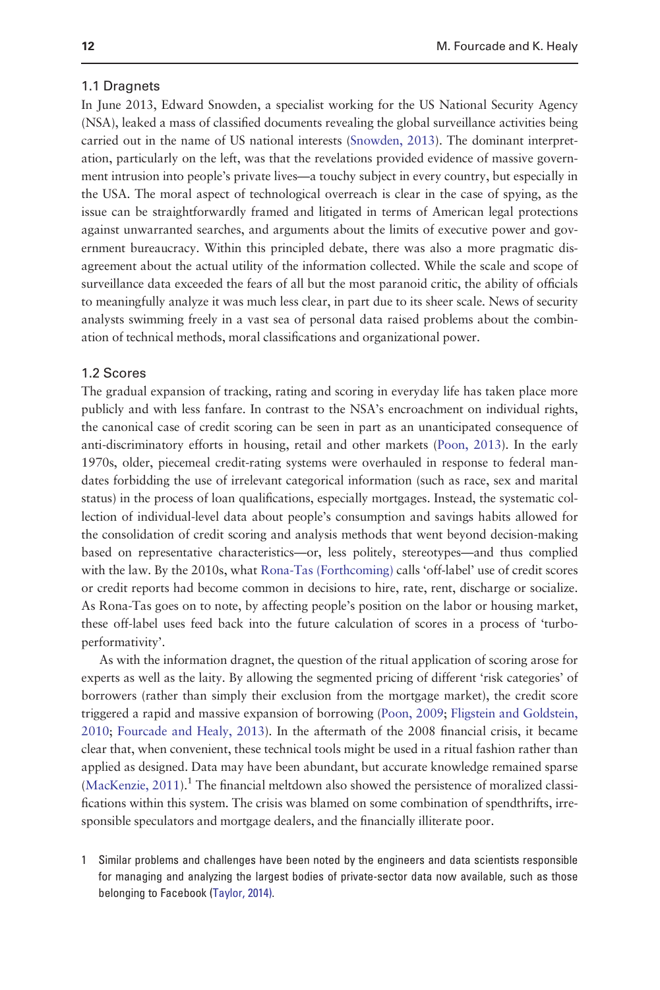### 1.1 Dragnets

In June 2013, Edward Snowden, a specialist working for the US National Security Agency (NSA), leaked a mass of classified documents revealing the global surveillance activities being carried out in the name of US national interests [\(Snowden, 2013\)](#page-19-0). The dominant interpretation, particularly on the left, was that the revelations provided evidence of massive government intrusion into people's private lives—a touchy subject in every country, but especially in the USA. The moral aspect of technological overreach is clear in the case of spying, as the issue can be straightforwardly framed and litigated in terms of American legal protections against unwarranted searches, and arguments about the limits of executive power and government bureaucracy. Within this principled debate, there was also a more pragmatic disagreement about the actual utility of the information collected. While the scale and scope of surveillance data exceeded the fears of all but the most paranoid critic, the ability of officials to meaningfully analyze it was much less clear, in part due to its sheer scale. News of security analysts swimming freely in a vast sea of personal data raised problems about the combination of technical methods, moral classifications and organizational power.

### 1.2 Scores

The gradual expansion of tracking, rating and scoring in everyday life has taken place more publicly and with less fanfare. In contrast to the NSA's encroachment on individual rights, the canonical case of credit scoring can be seen in part as an unanticipated consequence of anti-discriminatory efforts in housing, retail and other markets [\(Poon, 2013](#page-19-0)). In the early 1970s, older, piecemeal credit-rating systems were overhauled in response to federal mandates forbidding the use of irrelevant categorical information (such as race, sex and marital status) in the process of loan qualifications, especially mortgages. Instead, the systematic collection of individual-level data about people's consumption and savings habits allowed for the consolidation of credit scoring and analysis methods that went beyond decision-making based on representative characteristics—or, less politely, stereotypes—and thus complied with the law. By the 2010s, what [Rona-Tas \(Forthcoming\)](#page-19-0) calls 'off-label' use of credit scores or credit reports had become common in decisions to hire, rate, rent, discharge or socialize. As Rona-Tas goes on to note, by affecting people's position on the labor or housing market, these off-label uses feed back into the future calculation of scores in a process of 'turboperformativity'.

As with the information dragnet, the question of the ritual application of scoring arose for experts as well as the laity. By allowing the segmented pricing of different 'risk categories' of borrowers (rather than simply their exclusion from the mortgage market), the credit score triggered a rapid and massive expansion of borrowing ([Poon, 2009;](#page-19-0) [Fligstein and Goldstein,](#page-18-0) [2010](#page-18-0); [Fourcade and Healy, 2013](#page-18-0)). In the aftermath of the 2008 financial crisis, it became clear that, when convenient, these technical tools might be used in a ritual fashion rather than applied as designed. Data may have been abundant, but accurate knowledge remained sparse [\(MacKenzie, 2011\)](#page-19-0).<sup>1</sup> The financial meltdown also showed the persistence of moralized classifications within this system. The crisis was blamed on some combination of spendthrifts, irresponsible speculators and mortgage dealers, and the financially illiterate poor.

1 Similar problems and challenges have been noted by the engineers and data scientists responsible for managing and analyzing the largest bodies of private-sector data now available, such as those belonging to Facebook ([Taylor, 2014\)](#page-19-0).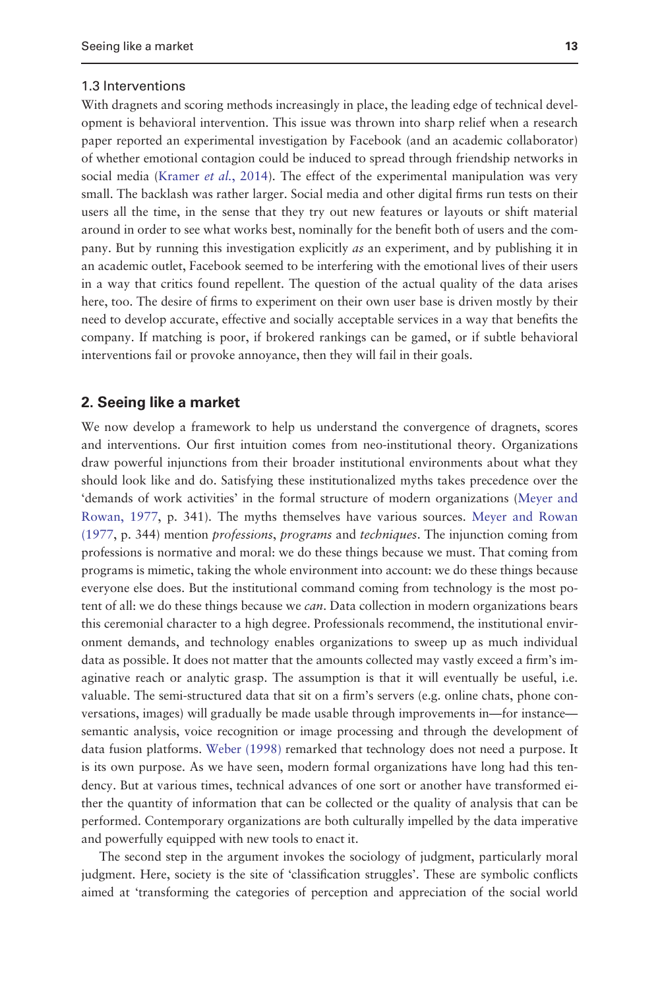## 1.3 Interventions

With dragnets and scoring methods increasingly in place, the leading edge of technical development is behavioral intervention. This issue was thrown into sharp relief when a research paper reported an experimental investigation by Facebook (and an academic collaborator) of whether emotional contagion could be induced to spread through friendship networks in social media [\(Kramer](#page-18-0) *et al.*, 2014). The effect of the experimental manipulation was very small. The backlash was rather larger. Social media and other digital firms run tests on their users all the time, in the sense that they try out new features or layouts or shift material around in order to see what works best, nominally for the benefit both of users and the company. But by running this investigation explicitly as an experiment, and by publishing it in an academic outlet, Facebook seemed to be interfering with the emotional lives of their users in a way that critics found repellent. The question of the actual quality of the data arises here, too. The desire of firms to experiment on their own user base is driven mostly by their need to develop accurate, effective and socially acceptable services in a way that benefits the company. If matching is poor, if brokered rankings can be gamed, or if subtle behavioral interventions fail or provoke annoyance, then they will fail in their goals.

## 2. Seeing like a market

We now develop a framework to help us understand the convergence of dragnets, scores and interventions. Our first intuition comes from neo-institutional theory. Organizations draw powerful injunctions from their broader institutional environments about what they should look like and do. Satisfying these institutionalized myths takes precedence over the 'demands of work activities' in the formal structure of modern organizations [\(Meyer and](#page-19-0) [Rowan, 1977,](#page-19-0) p. 341). The myths themselves have various sources. [Meyer and Rowan](#page-19-0) [\(1977](#page-19-0), p. 344) mention professions, programs and techniques. The injunction coming from professions is normative and moral: we do these things because we must. That coming from programs is mimetic, taking the whole environment into account: we do these things because everyone else does. But the institutional command coming from technology is the most potent of all: we do these things because we *can*. Data collection in modern organizations bears this ceremonial character to a high degree. Professionals recommend, the institutional environment demands, and technology enables organizations to sweep up as much individual data as possible. It does not matter that the amounts collected may vastly exceed a firm's imaginative reach or analytic grasp. The assumption is that it will eventually be useful, i.e. valuable. The semi-structured data that sit on a firm's servers (e.g. online chats, phone conversations, images) will gradually be made usable through improvements in—for instance semantic analysis, voice recognition or image processing and through the development of data fusion platforms. [Weber \(1998\)](#page-19-0) remarked that technology does not need a purpose. It is its own purpose. As we have seen, modern formal organizations have long had this tendency. But at various times, technical advances of one sort or another have transformed either the quantity of information that can be collected or the quality of analysis that can be performed. Contemporary organizations are both culturally impelled by the data imperative and powerfully equipped with new tools to enact it.

The second step in the argument invokes the sociology of judgment, particularly moral judgment. Here, society is the site of 'classification struggles'. These are symbolic conflicts aimed at 'transforming the categories of perception and appreciation of the social world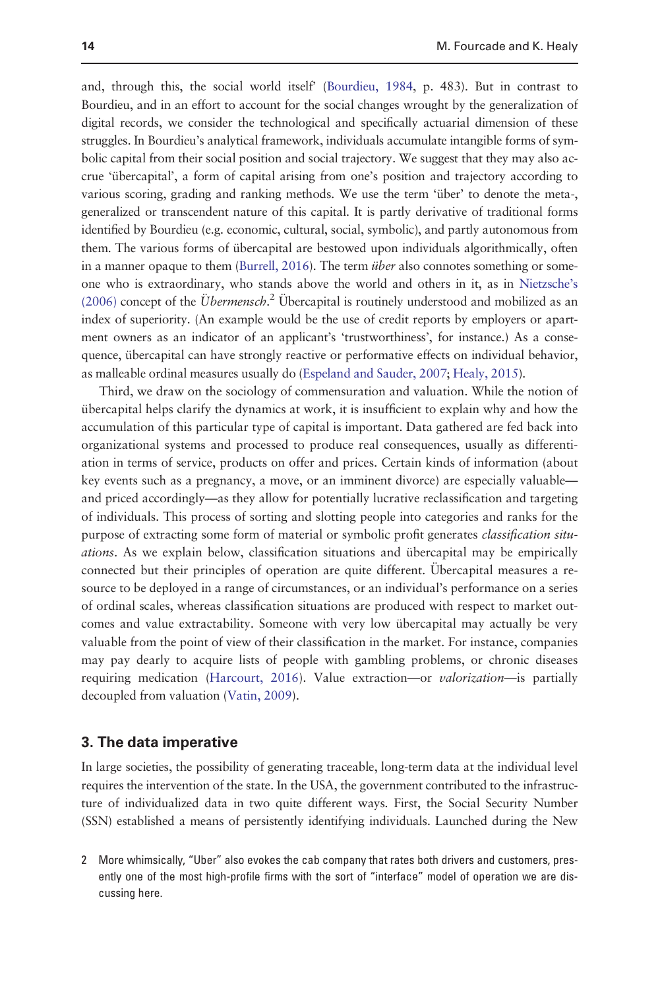and, through this, the social world itself' [\(Bourdieu, 1984,](#page-17-0) p. 483). But in contrast to Bourdieu, and in an effort to account for the social changes wrought by the generalization of digital records, we consider the technological and specifically actuarial dimension of these struggles. In Bourdieu's analytical framework, individuals accumulate intangible forms of symbolic capital from their social position and social trajectory. We suggest that they may also accrue 'übercapital', a form of capital arising from one's position and trajectory according to various scoring, grading and ranking methods. We use the term 'über' to denote the meta-, generalized or transcendent nature of this capital. It is partly derivative of traditional forms identified by Bourdieu (e.g. economic, cultural, social, symbolic), and partly autonomous from them. The various forms of übercapital are bestowed upon individuals algorithmically, often in a manner opaque to them (Burrell,  $2016$ ). The term *über* also connotes something or someone who is extraordinary, who stands above the world and others in it, as in [Nietzsche's](#page-19-0) [\(2006\)](#page-19-0) concept of the  $Übermensch.$ <sup>2</sup> Übercapital is routinely understood and mobilized as an index of superiority. (An example would be the use of credit reports by employers or apartment owners as an indicator of an applicant's 'trustworthiness', for instance.) As a consequence, übercapital can have strongly reactive or performative effects on individual behavior, as malleable ordinal measures usually do [\(Espeland and Sauder, 2007;](#page-17-0) [Healy, 2015\)](#page-18-0).

Third, we draw on the sociology of commensuration and valuation. While the notion of übercapital helps clarify the dynamics at work, it is insufficient to explain why and how the accumulation of this particular type of capital is important. Data gathered are fed back into organizational systems and processed to produce real consequences, usually as differentiation in terms of service, products on offer and prices. Certain kinds of information (about key events such as a pregnancy, a move, or an imminent divorce) are especially valuable and priced accordingly—as they allow for potentially lucrative reclassification and targeting of individuals. This process of sorting and slotting people into categories and ranks for the purpose of extracting some form of material or symbolic profit generates *classification situ*ations. As we explain below, classification situations and übercapital may be empirically connected but their principles of operation are quite different. Übercapital measures a resource to be deployed in a range of circumstances, or an individual's performance on a series of ordinal scales, whereas classification situations are produced with respect to market outcomes and value extractability. Someone with very low übercapital may actually be very valuable from the point of view of their classification in the market. For instance, companies may pay dearly to acquire lists of people with gambling problems, or chronic diseases requiring medication ([Harcourt, 2016](#page-18-0)). Value extraction—or valorization—is partially decoupled from valuation ([Vatin, 2009\)](#page-19-0).

# 3. The data imperative

In large societies, the possibility of generating traceable, long-term data at the individual level requires the intervention of the state. In the USA, the government contributed to the infrastructure of individualized data in two quite different ways. First, the Social Security Number (SSN) established a means of persistently identifying individuals. Launched during the New

2 More whimsically, "Uber" also evokes the cab company that rates both drivers and customers, presently one of the most high-profile firms with the sort of "interface" model of operation we are discussing here.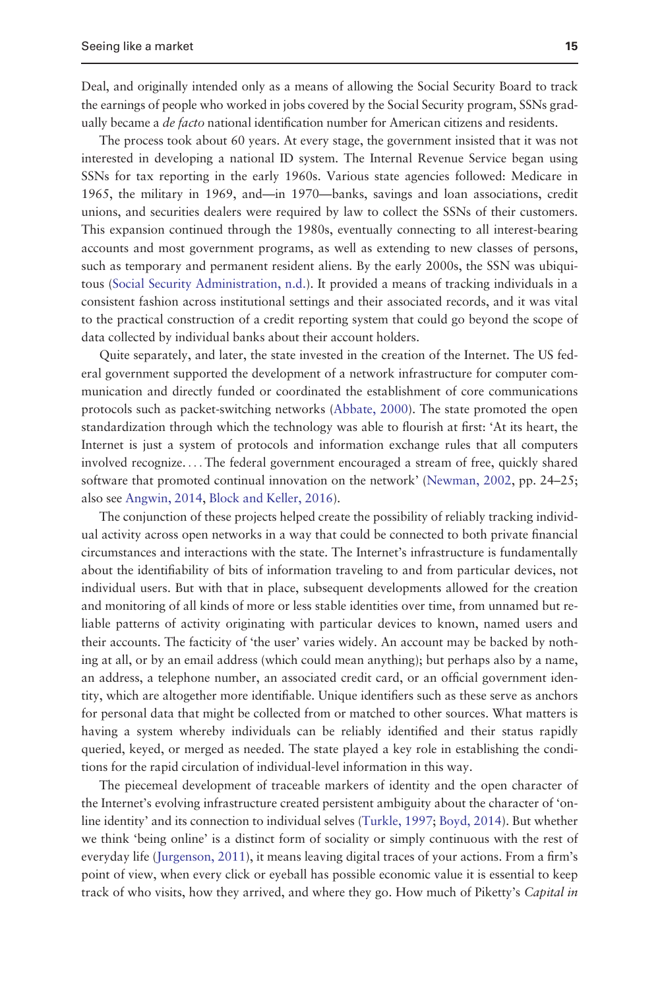Deal, and originally intended only as a means of allowing the Social Security Board to track the earnings of people who worked in jobs covered by the Social Security program, SSNs gradually became a de facto national identification number for American citizens and residents.

The process took about 60 years. At every stage, the government insisted that it was not interested in developing a national ID system. The Internal Revenue Service began using SSNs for tax reporting in the early 1960s. Various state agencies followed: Medicare in 1965, the military in 1969, and—in 1970—banks, savings and loan associations, credit unions, and securities dealers were required by law to collect the SSNs of their customers. This expansion continued through the 1980s, eventually connecting to all interest-bearing accounts and most government programs, as well as extending to new classes of persons, such as temporary and permanent resident aliens. By the early 2000s, the SSN was ubiquitous [\(Social Security Administration, n.d.](#page-19-0)). It provided a means of tracking individuals in a consistent fashion across institutional settings and their associated records, and it was vital to the practical construction of a credit reporting system that could go beyond the scope of data collected by individual banks about their account holders.

Quite separately, and later, the state invested in the creation of the Internet. The US federal government supported the development of a network infrastructure for computer communication and directly funded or coordinated the establishment of core communications protocols such as packet-switching networks ([Abbate, 2000\)](#page-17-0). The state promoted the open standardization through which the technology was able to flourish at first: 'At its heart, the Internet is just a system of protocols and information exchange rules that all computers involved recognize. ... The federal government encouraged a stream of free, quickly shared software that promoted continual innovation on the network' [\(Newman, 2002](#page-19-0), pp. 24–25; also see [Angwin, 2014,](#page-17-0) [Block and Keller, 2016](#page-17-0)).

The conjunction of these projects helped create the possibility of reliably tracking individual activity across open networks in a way that could be connected to both private financial circumstances and interactions with the state. The Internet's infrastructure is fundamentally about the identifiability of bits of information traveling to and from particular devices, not individual users. But with that in place, subsequent developments allowed for the creation and monitoring of all kinds of more or less stable identities over time, from unnamed but reliable patterns of activity originating with particular devices to known, named users and their accounts. The facticity of 'the user' varies widely. An account may be backed by nothing at all, or by an email address (which could mean anything); but perhaps also by a name, an address, a telephone number, an associated credit card, or an official government identity, which are altogether more identifiable. Unique identifiers such as these serve as anchors for personal data that might be collected from or matched to other sources. What matters is having a system whereby individuals can be reliably identified and their status rapidly queried, keyed, or merged as needed. The state played a key role in establishing the conditions for the rapid circulation of individual-level information in this way.

The piecemeal development of traceable markers of identity and the open character of the Internet's evolving infrastructure created persistent ambiguity about the character of 'online identity' and its connection to individual selves ([Turkle, 1997](#page-19-0); [Boyd, 2014](#page-17-0)). But whether we think 'being online' is a distinct form of sociality or simply continuous with the rest of everyday life [\(Jurgenson, 2011\)](#page-18-0), it means leaving digital traces of your actions. From a firm's point of view, when every click or eyeball has possible economic value it is essential to keep track of who visits, how they arrived, and where they go. How much of Piketty's Capital in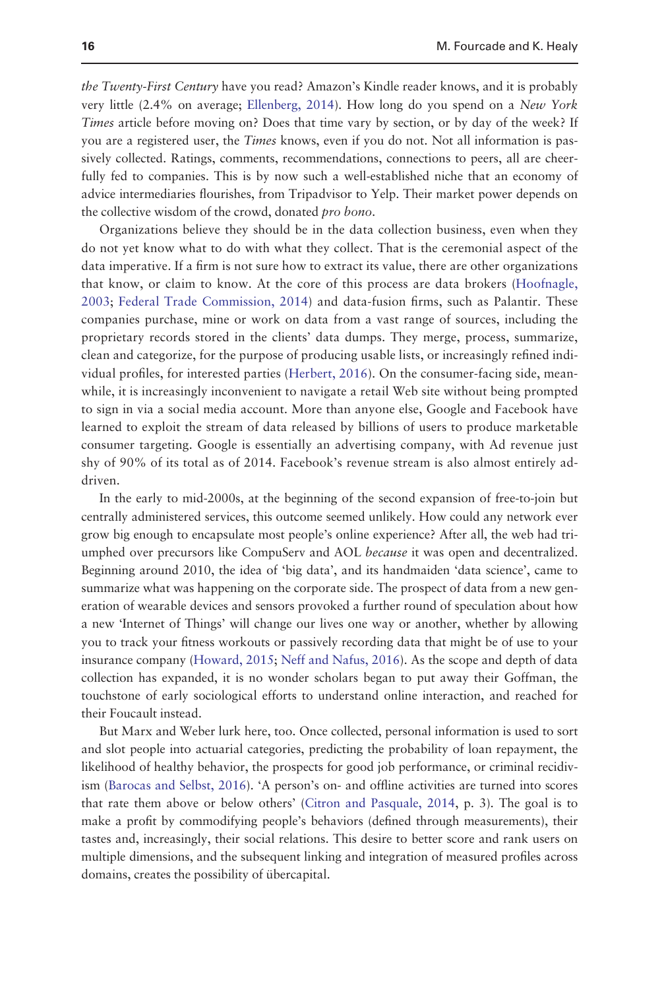the Twenty-First Century have you read? Amazon's Kindle reader knows, and it is probably very little (2.4% on average; [Ellenberg, 2014](#page-17-0)). How long do you spend on a New York Times article before moving on? Does that time vary by section, or by day of the week? If you are a registered user, the *Times* knows, even if you do not. Not all information is passively collected. Ratings, comments, recommendations, connections to peers, all are cheerfully fed to companies. This is by now such a well-established niche that an economy of advice intermediaries flourishes, from Tripadvisor to Yelp. Their market power depends on the collective wisdom of the crowd, donated pro bono.

Organizations believe they should be in the data collection business, even when they do not yet know what to do with what they collect. That is the ceremonial aspect of the data imperative. If a firm is not sure how to extract its value, there are other organizations that know, or claim to know. At the core of this process are data brokers ([Hoofnagle,](#page-18-0) [2003;](#page-18-0) [Federal Trade Commission, 2014\)](#page-18-0) and data-fusion firms, such as Palantir. These companies purchase, mine or work on data from a vast range of sources, including the proprietary records stored in the clients' data dumps. They merge, process, summarize, clean and categorize, for the purpose of producing usable lists, or increasingly refined individual profiles, for interested parties ([Herbert, 2016\)](#page-18-0). On the consumer-facing side, meanwhile, it is increasingly inconvenient to navigate a retail Web site without being prompted to sign in via a social media account. More than anyone else, Google and Facebook have learned to exploit the stream of data released by billions of users to produce marketable consumer targeting. Google is essentially an advertising company, with Ad revenue just shy of 90% of its total as of 2014. Facebook's revenue stream is also almost entirely addriven.

In the early to mid-2000s, at the beginning of the second expansion of free-to-join but centrally administered services, this outcome seemed unlikely. How could any network ever grow big enough to encapsulate most people's online experience? After all, the web had triumphed over precursors like CompuServ and AOL because it was open and decentralized. Beginning around 2010, the idea of 'big data', and its handmaiden 'data science', came to summarize what was happening on the corporate side. The prospect of data from a new generation of wearable devices and sensors provoked a further round of speculation about how a new 'Internet of Things' will change our lives one way or another, whether by allowing you to track your fitness workouts or passively recording data that might be of use to your insurance company ([Howard, 2015;](#page-18-0) [Neff and Nafus, 2016](#page-19-0)). As the scope and depth of data collection has expanded, it is no wonder scholars began to put away their Goffman, the touchstone of early sociological efforts to understand online interaction, and reached for their Foucault instead.

But Marx and Weber lurk here, too. Once collected, personal information is used to sort and slot people into actuarial categories, predicting the probability of loan repayment, the likelihood of healthy behavior, the prospects for good job performance, or criminal recidivism ([Barocas and Selbst, 2016](#page-17-0)). 'A person's on- and offline activities are turned into scores that rate them above or below others' [\(Citron and Pasquale, 2014](#page-17-0), p. 3). The goal is to make a profit by commodifying people's behaviors (defined through measurements), their tastes and, increasingly, their social relations. This desire to better score and rank users on multiple dimensions, and the subsequent linking and integration of measured profiles across domains, creates the possibility of übercapital.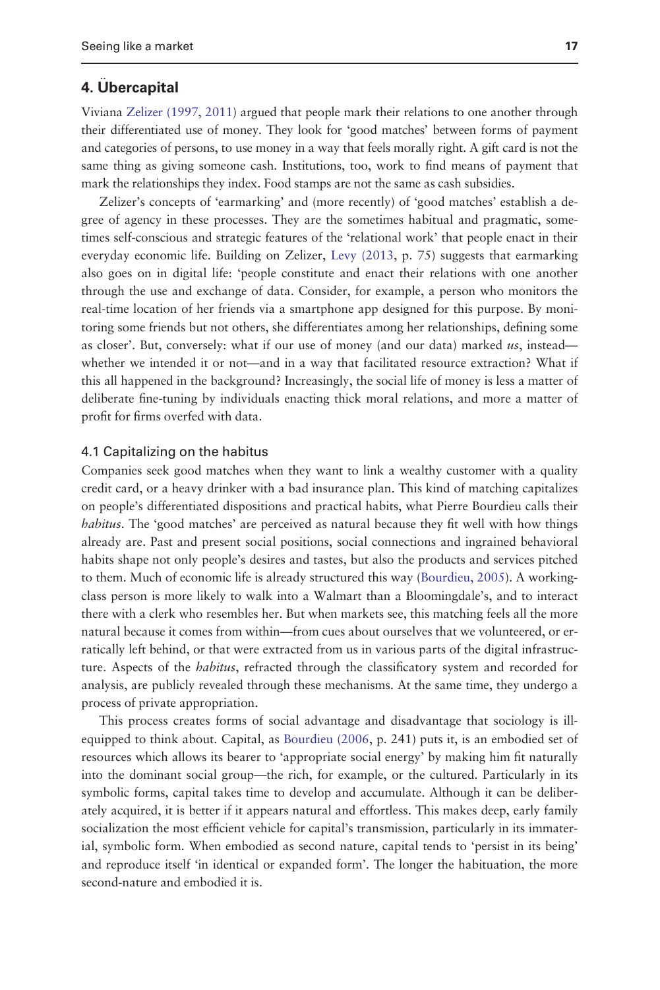# 4. Übercapital

Viviana [Zelizer \(1997,](#page-20-0) [2011](#page-20-0)) argued that people mark their relations to one another through their differentiated use of money. They look for 'good matches' between forms of payment and categories of persons, to use money in a way that feels morally right. A gift card is not the same thing as giving someone cash. Institutions, too, work to find means of payment that mark the relationships they index. Food stamps are not the same as cash subsidies.

Zelizer's concepts of 'earmarking' and (more recently) of 'good matches' establish a degree of agency in these processes. They are the sometimes habitual and pragmatic, sometimes self-conscious and strategic features of the 'relational work' that people enact in their everyday economic life. Building on Zelizer, [Levy \(2013](#page-18-0), p. 75) suggests that earmarking also goes on in digital life: 'people constitute and enact their relations with one another through the use and exchange of data. Consider, for example, a person who monitors the real-time location of her friends via a smartphone app designed for this purpose. By monitoring some friends but not others, she differentiates among her relationships, defining some as closer'. But, conversely: what if our use of money (and our data) marked  $us$ , instead whether we intended it or not—and in a way that facilitated resource extraction? What if this all happened in the background? Increasingly, the social life of money is less a matter of deliberate fine-tuning by individuals enacting thick moral relations, and more a matter of profit for firms overfed with data.

## 4.1 Capitalizing on the habitus

Companies seek good matches when they want to link a wealthy customer with a quality credit card, or a heavy drinker with a bad insurance plan. This kind of matching capitalizes on people's differentiated dispositions and practical habits, what Pierre Bourdieu calls their habitus. The 'good matches' are perceived as natural because they fit well with how things already are. Past and present social positions, social connections and ingrained behavioral habits shape not only people's desires and tastes, but also the products and services pitched to them. Much of economic life is already structured this way [\(Bourdieu, 2005\)](#page-17-0). A workingclass person is more likely to walk into a Walmart than a Bloomingdale's, and to interact there with a clerk who resembles her. But when markets see, this matching feels all the more natural because it comes from within—from cues about ourselves that we volunteered, or erratically left behind, or that were extracted from us in various parts of the digital infrastructure. Aspects of the *habitus*, refracted through the classificatory system and recorded for analysis, are publicly revealed through these mechanisms. At the same time, they undergo a process of private appropriation.

This process creates forms of social advantage and disadvantage that sociology is illequipped to think about. Capital, as [Bourdieu \(2006,](#page-17-0) p. 241) puts it, is an embodied set of resources which allows its bearer to 'appropriate social energy' by making him fit naturally into the dominant social group—the rich, for example, or the cultured. Particularly in its symbolic forms, capital takes time to develop and accumulate. Although it can be deliberately acquired, it is better if it appears natural and effortless. This makes deep, early family socialization the most efficient vehicle for capital's transmission, particularly in its immaterial, symbolic form. When embodied as second nature, capital tends to 'persist in its being' and reproduce itself 'in identical or expanded form'. The longer the habituation, the more second-nature and embodied it is.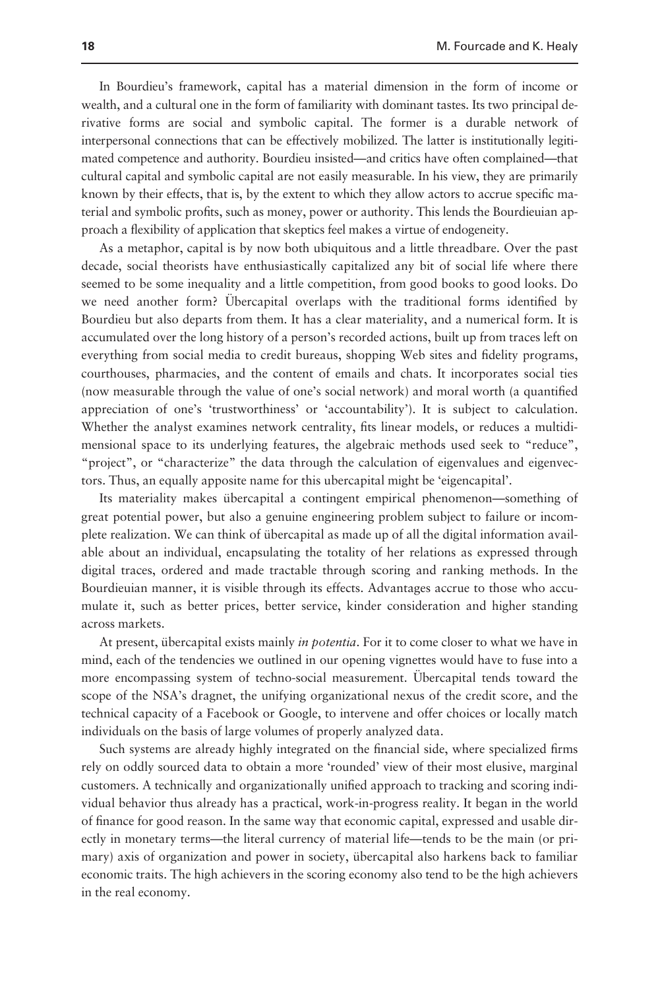In Bourdieu's framework, capital has a material dimension in the form of income or wealth, and a cultural one in the form of familiarity with dominant tastes. Its two principal derivative forms are social and symbolic capital. The former is a durable network of interpersonal connections that can be effectively mobilized. The latter is institutionally legitimated competence and authority. Bourdieu insisted—and critics have often complained—that cultural capital and symbolic capital are not easily measurable. In his view, they are primarily known by their effects, that is, by the extent to which they allow actors to accrue specific material and symbolic profits, such as money, power or authority. This lends the Bourdieuian approach a flexibility of application that skeptics feel makes a virtue of endogeneity.

As a metaphor, capital is by now both ubiquitous and a little threadbare. Over the past decade, social theorists have enthusiastically capitalized any bit of social life where there seemed to be some inequality and a little competition, from good books to good looks. Do we need another form? Ubercapital overlaps with the traditional forms identified by Bourdieu but also departs from them. It has a clear materiality, and a numerical form. It is accumulated over the long history of a person's recorded actions, built up from traces left on everything from social media to credit bureaus, shopping Web sites and fidelity programs, courthouses, pharmacies, and the content of emails and chats. It incorporates social ties (now measurable through the value of one's social network) and moral worth (a quantified appreciation of one's 'trustworthiness' or 'accountability'). It is subject to calculation. Whether the analyst examines network centrality, fits linear models, or reduces a multidimensional space to its underlying features, the algebraic methods used seek to "reduce", "project", or "characterize" the data through the calculation of eigenvalues and eigenvectors. Thus, an equally apposite name for this ubercapital might be 'eigencapital'.

Its materiality makes übercapital a contingent empirical phenomenon—something of great potential power, but also a genuine engineering problem subject to failure or incomplete realization. We can think of übercapital as made up of all the digital information available about an individual, encapsulating the totality of her relations as expressed through digital traces, ordered and made tractable through scoring and ranking methods. In the Bourdieuian manner, it is visible through its effects. Advantages accrue to those who accumulate it, such as better prices, better service, kinder consideration and higher standing across markets.

At present, übercapital exists mainly *in potentia*. For it to come closer to what we have in mind, each of the tendencies we outlined in our opening vignettes would have to fuse into a more encompassing system of techno-social measurement. Ubercapital tends toward the scope of the NSA's dragnet, the unifying organizational nexus of the credit score, and the technical capacity of a Facebook or Google, to intervene and offer choices or locally match individuals on the basis of large volumes of properly analyzed data.

Such systems are already highly integrated on the financial side, where specialized firms rely on oddly sourced data to obtain a more 'rounded' view of their most elusive, marginal customers. A technically and organizationally unified approach to tracking and scoring individual behavior thus already has a practical, work-in-progress reality. It began in the world of finance for good reason. In the same way that economic capital, expressed and usable directly in monetary terms—the literal currency of material life—tends to be the main (or primary) axis of organization and power in society, übercapital also harkens back to familiar economic traits. The high achievers in the scoring economy also tend to be the high achievers in the real economy.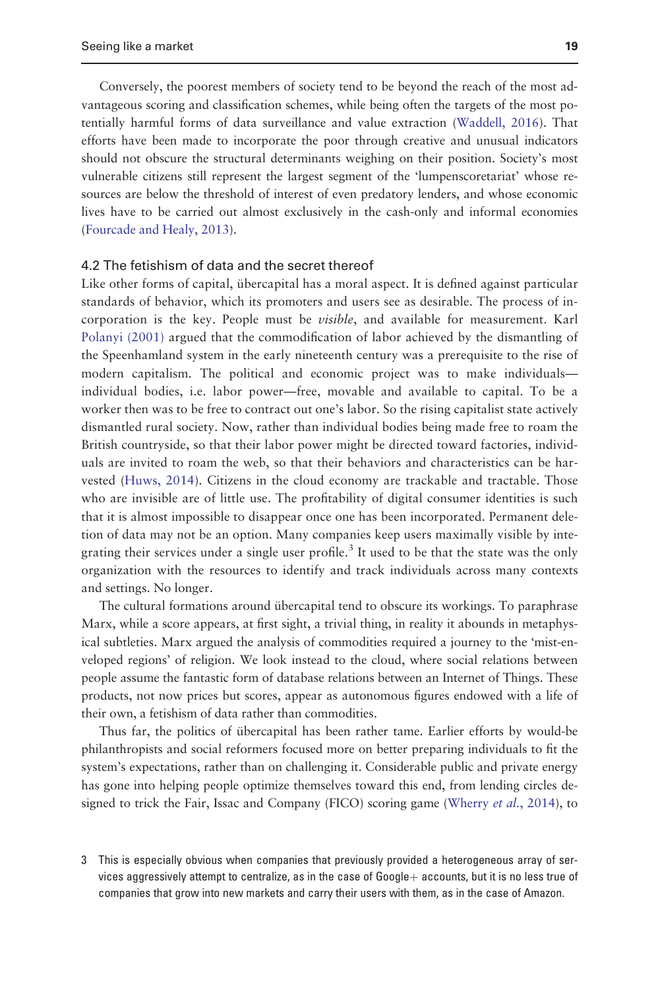Conversely, the poorest members of society tend to be beyond the reach of the most advantageous scoring and classification schemes, while being often the targets of the most potentially harmful forms of data surveillance and value extraction [\(Waddell, 2016\)](#page-19-0). That efforts have been made to incorporate the poor through creative and unusual indicators should not obscure the structural determinants weighing on their position. Society's most vulnerable citizens still represent the largest segment of the 'lumpenscoretariat' whose resources are below the threshold of interest of even predatory lenders, and whose economic lives have to be carried out almost exclusively in the cash-only and informal economies [\(Fourcade and Healy, 2013\)](#page-18-0).

#### 4.2 The fetishism of data and the secret thereof

Like other forms of capital, übercapital has a moral aspect. It is defined against particular standards of behavior, which its promoters and users see as desirable. The process of incorporation is the key. People must be *visible*, and available for measurement. Karl [Polanyi \(2001\)](#page-19-0) argued that the commodification of labor achieved by the dismantling of the Speenhamland system in the early nineteenth century was a prerequisite to the rise of modern capitalism. The political and economic project was to make individuals individual bodies, i.e. labor power—free, movable and available to capital. To be a worker then was to be free to contract out one's labor. So the rising capitalist state actively dismantled rural society. Now, rather than individual bodies being made free to roam the British countryside, so that their labor power might be directed toward factories, individuals are invited to roam the web, so that their behaviors and characteristics can be harvested ([Huws, 2014](#page-18-0)). Citizens in the cloud economy are trackable and tractable. Those who are invisible are of little use. The profitability of digital consumer identities is such that it is almost impossible to disappear once one has been incorporated. Permanent deletion of data may not be an option. Many companies keep users maximally visible by integrating their services under a single user profile.<sup>3</sup> It used to be that the state was the only organization with the resources to identify and track individuals across many contexts and settings. No longer.

The cultural formations around übercapital tend to obscure its workings. To paraphrase Marx, while a score appears, at first sight, a trivial thing, in reality it abounds in metaphysical subtleties. Marx argued the analysis of commodities required a journey to the 'mist-enveloped regions' of religion. We look instead to the cloud, where social relations between people assume the fantastic form of database relations between an Internet of Things. These products, not now prices but scores, appear as autonomous figures endowed with a life of their own, a fetishism of data rather than commodities.

Thus far, the politics of übercapital has been rather tame. Earlier efforts by would-be philanthropists and social reformers focused more on better preparing individuals to fit the system's expectations, rather than on challenging it. Considerable public and private energy has gone into helping people optimize themselves toward this end, from lending circles de-signed to trick the Fair, Issac and Company (FICO) scoring game [\(Wherry](#page-19-0)  $et al., 2014$ ), to

3 This is especially obvious when companies that previously provided a heterogeneous array of services aggressively attempt to centralize, as in the case of Google+ accounts, but it is no less true of companies that grow into new markets and carry their users with them, as in the case of Amazon.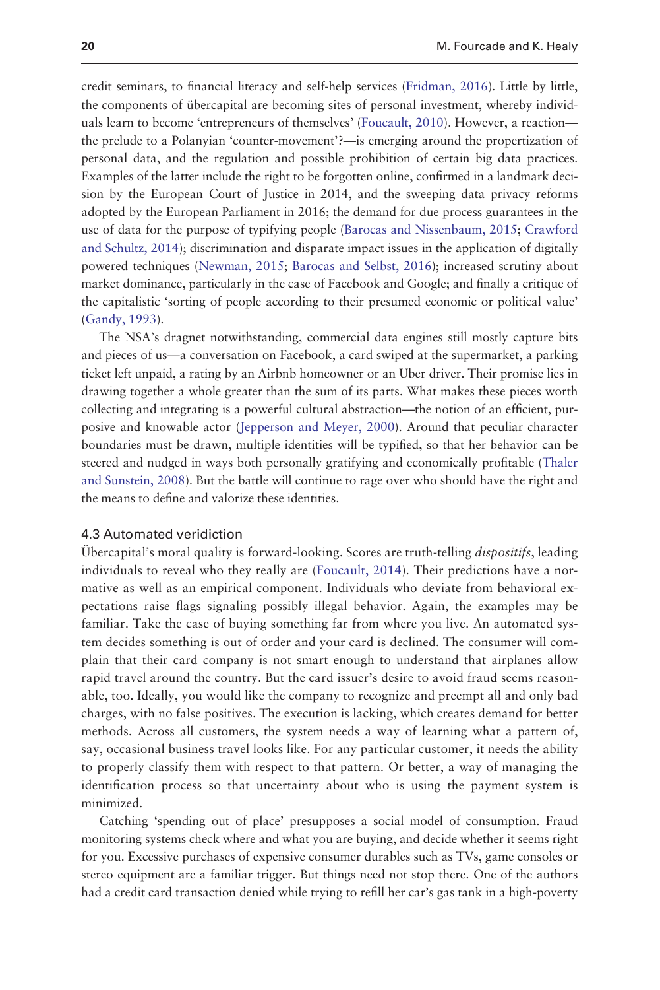credit seminars, to financial literacy and self-help services [\(Fridman, 2016](#page-18-0)). Little by little, the components of übercapital are becoming sites of personal investment, whereby individuals learn to become 'entrepreneurs of themselves' [\(Foucault, 2010\)](#page-18-0). However, a reaction the prelude to a Polanyian 'counter-movement'?—is emerging around the propertization of personal data, and the regulation and possible prohibition of certain big data practices. Examples of the latter include the right to be forgotten online, confirmed in a landmark decision by the European Court of Justice in 2014, and the sweeping data privacy reforms adopted by the European Parliament in 2016; the demand for due process guarantees in the use of data for the purpose of typifying people ([Barocas and Nissenbaum, 2015](#page-17-0); [Crawford](#page-17-0) [and Schultz, 2014\)](#page-17-0); discrimination and disparate impact issues in the application of digitally powered techniques [\(Newman, 2015;](#page-19-0) [Barocas and Selbst, 2016\)](#page-17-0); increased scrutiny about market dominance, particularly in the case of Facebook and Google; and finally a critique of the capitalistic 'sorting of people according to their presumed economic or political value' [\(Gandy, 1993\)](#page-18-0).

The NSA's dragnet notwithstanding, commercial data engines still mostly capture bits and pieces of us—a conversation on Facebook, a card swiped at the supermarket, a parking ticket left unpaid, a rating by an Airbnb homeowner or an Uber driver. Their promise lies in drawing together a whole greater than the sum of its parts. What makes these pieces worth collecting and integrating is a powerful cultural abstraction—the notion of an efficient, purposive and knowable actor ([Jepperson and Meyer, 2000\)](#page-18-0). Around that peculiar character boundaries must be drawn, multiple identities will be typified, so that her behavior can be steered and nudged in ways both personally gratifying and economically profitable ([Thaler](#page-19-0) [and Sunstein, 2008](#page-19-0)). But the battle will continue to rage over who should have the right and the means to define and valorize these identities.

## 4.3 Automated veridiction

Ubercapital's moral quality is forward-looking. Scores are truth-telling *dispositifs*, leading individuals to reveal who they really are [\(Foucault, 2014](#page-18-0)). Their predictions have a normative as well as an empirical component. Individuals who deviate from behavioral expectations raise flags signaling possibly illegal behavior. Again, the examples may be familiar. Take the case of buying something far from where you live. An automated system decides something is out of order and your card is declined. The consumer will complain that their card company is not smart enough to understand that airplanes allow rapid travel around the country. But the card issuer's desire to avoid fraud seems reasonable, too. Ideally, you would like the company to recognize and preempt all and only bad charges, with no false positives. The execution is lacking, which creates demand for better methods. Across all customers, the system needs a way of learning what a pattern of, say, occasional business travel looks like. For any particular customer, it needs the ability to properly classify them with respect to that pattern. Or better, a way of managing the identification process so that uncertainty about who is using the payment system is minimized.

Catching 'spending out of place' presupposes a social model of consumption. Fraud monitoring systems check where and what you are buying, and decide whether it seems right for you. Excessive purchases of expensive consumer durables such as TVs, game consoles or stereo equipment are a familiar trigger. But things need not stop there. One of the authors had a credit card transaction denied while trying to refill her car's gas tank in a high-poverty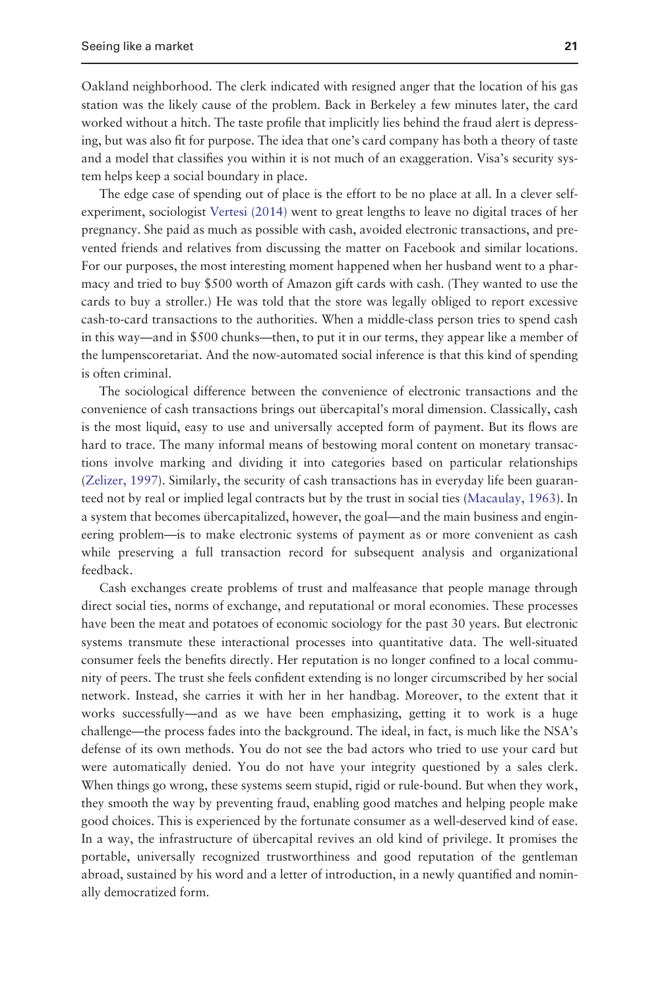Oakland neighborhood. The clerk indicated with resigned anger that the location of his gas station was the likely cause of the problem. Back in Berkeley a few minutes later, the card worked without a hitch. The taste profile that implicitly lies behind the fraud alert is depressing, but was also fit for purpose. The idea that one's card company has both a theory of taste and a model that classifies you within it is not much of an exaggeration. Visa's security system helps keep a social boundary in place.

The edge case of spending out of place is the effort to be no place at all. In a clever selfexperiment, sociologist [Vertesi \(2014\)](#page-19-0) went to great lengths to leave no digital traces of her pregnancy. She paid as much as possible with cash, avoided electronic transactions, and prevented friends and relatives from discussing the matter on Facebook and similar locations. For our purposes, the most interesting moment happened when her husband went to a pharmacy and tried to buy \$500 worth of Amazon gift cards with cash. (They wanted to use the cards to buy a stroller.) He was told that the store was legally obliged to report excessive cash-to-card transactions to the authorities. When a middle-class person tries to spend cash in this way—and in \$500 chunks—then, to put it in our terms, they appear like a member of the lumpenscoretariat. And the now-automated social inference is that this kind of spending is often criminal.

The sociological difference between the convenience of electronic transactions and the convenience of cash transactions brings out übercapital's moral dimension. Classically, cash is the most liquid, easy to use and universally accepted form of payment. But its flows are hard to trace. The many informal means of bestowing moral content on monetary transactions involve marking and dividing it into categories based on particular relationships [\(Zelizer, 1997\)](#page-20-0). Similarly, the security of cash transactions has in everyday life been guaranteed not by real or implied legal contracts but by the trust in social ties [\(Macaulay, 1963\)](#page-18-0). In a system that becomes übercapitalized, however, the goal—and the main business and engineering problem—is to make electronic systems of payment as or more convenient as cash while preserving a full transaction record for subsequent analysis and organizational feedback.

Cash exchanges create problems of trust and malfeasance that people manage through direct social ties, norms of exchange, and reputational or moral economies. These processes have been the meat and potatoes of economic sociology for the past 30 years. But electronic systems transmute these interactional processes into quantitative data. The well-situated consumer feels the benefits directly. Her reputation is no longer confined to a local community of peers. The trust she feels confident extending is no longer circumscribed by her social network. Instead, she carries it with her in her handbag. Moreover, to the extent that it works successfully—and as we have been emphasizing, getting it to work is a huge challenge—the process fades into the background. The ideal, in fact, is much like the NSA's defense of its own methods. You do not see the bad actors who tried to use your card but were automatically denied. You do not have your integrity questioned by a sales clerk. When things go wrong, these systems seem stupid, rigid or rule-bound. But when they work, they smooth the way by preventing fraud, enabling good matches and helping people make good choices. This is experienced by the fortunate consumer as a well-deserved kind of ease. In a way, the infrastructure of übercapital revives an old kind of privilege. It promises the portable, universally recognized trustworthiness and good reputation of the gentleman abroad, sustained by his word and a letter of introduction, in a newly quantified and nominally democratized form.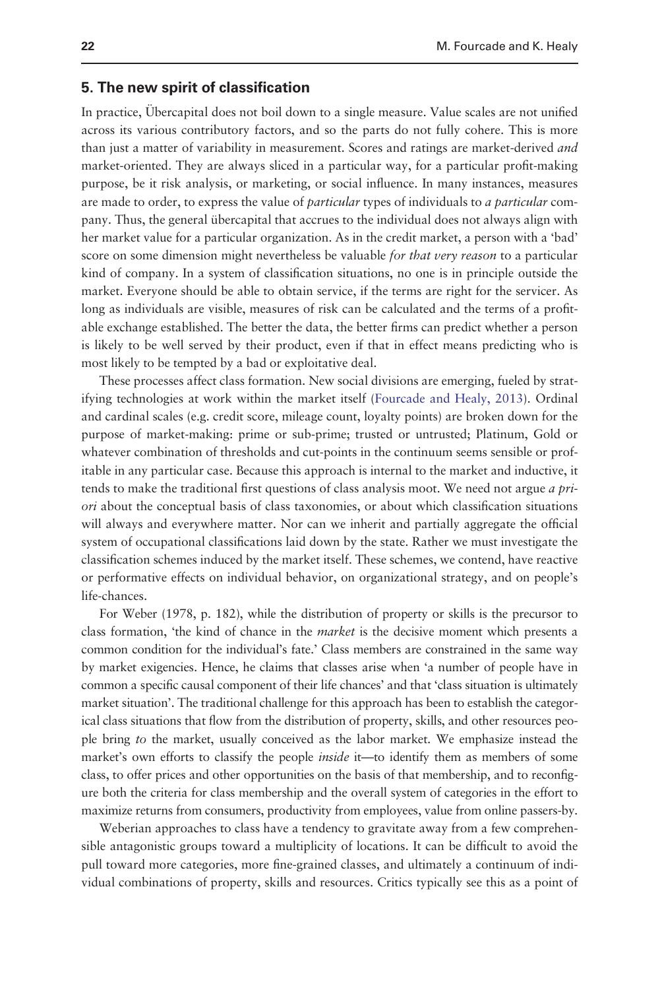# 5. The new spirit of classification

In practice, Übercapital does not boil down to a single measure. Value scales are not unified across its various contributory factors, and so the parts do not fully cohere. This is more than just a matter of variability in measurement. Scores and ratings are market-derived *and* market-oriented. They are always sliced in a particular way, for a particular profit-making purpose, be it risk analysis, or marketing, or social influence. In many instances, measures are made to order, to express the value of *particular* types of individuals to a *particular* company. Thus, the general übercapital that accrues to the individual does not always align with her market value for a particular organization. As in the credit market, a person with a 'bad' score on some dimension might nevertheless be valuable for that very reason to a particular kind of company. In a system of classification situations, no one is in principle outside the market. Everyone should be able to obtain service, if the terms are right for the servicer. As long as individuals are visible, measures of risk can be calculated and the terms of a profitable exchange established. The better the data, the better firms can predict whether a person is likely to be well served by their product, even if that in effect means predicting who is most likely to be tempted by a bad or exploitative deal.

These processes affect class formation. New social divisions are emerging, fueled by stratifying technologies at work within the market itself [\(Fourcade and Healy, 2013\)](#page-18-0). Ordinal and cardinal scales (e.g. credit score, mileage count, loyalty points) are broken down for the purpose of market-making: prime or sub-prime; trusted or untrusted; Platinum, Gold or whatever combination of thresholds and cut-points in the continuum seems sensible or profitable in any particular case. Because this approach is internal to the market and inductive, it tends to make the traditional first questions of class analysis moot. We need not argue *a pri*ori about the conceptual basis of class taxonomies, or about which classification situations will always and everywhere matter. Nor can we inherit and partially aggregate the official system of occupational classifications laid down by the state. Rather we must investigate the classification schemes induced by the market itself. These schemes, we contend, have reactive or performative effects on individual behavior, on organizational strategy, and on people's life-chances.

For Weber (1978, p. 182), while the distribution of property or skills is the precursor to class formation, 'the kind of chance in the market is the decisive moment which presents a common condition for the individual's fate.' Class members are constrained in the same way by market exigencies. Hence, he claims that classes arise when 'a number of people have in common a specific causal component of their life chances' and that 'class situation is ultimately market situation'. The traditional challenge for this approach has been to establish the categorical class situations that flow from the distribution of property, skills, and other resources people bring to the market, usually conceived as the labor market. We emphasize instead the market's own efforts to classify the people *inside* it—to identify them as members of some class, to offer prices and other opportunities on the basis of that membership, and to reconfigure both the criteria for class membership and the overall system of categories in the effort to maximize returns from consumers, productivity from employees, value from online passers-by.

Weberian approaches to class have a tendency to gravitate away from a few comprehensible antagonistic groups toward a multiplicity of locations. It can be difficult to avoid the pull toward more categories, more fine-grained classes, and ultimately a continuum of individual combinations of property, skills and resources. Critics typically see this as a point of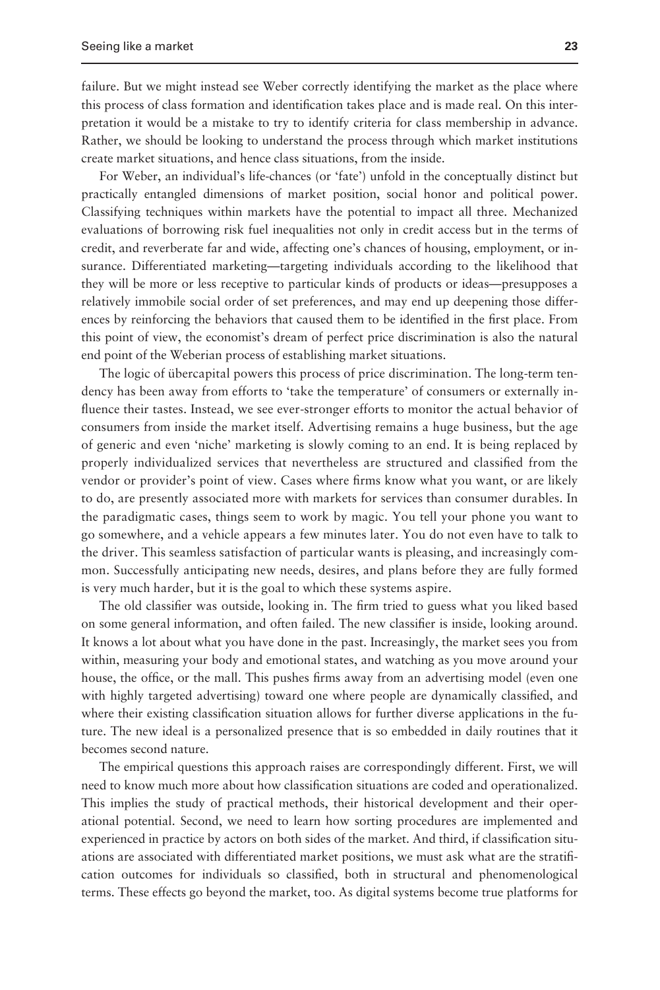failure. But we might instead see Weber correctly identifying the market as the place where this process of class formation and identification takes place and is made real. On this interpretation it would be a mistake to try to identify criteria for class membership in advance. Rather, we should be looking to understand the process through which market institutions create market situations, and hence class situations, from the inside.

For Weber, an individual's life-chances (or 'fate') unfold in the conceptually distinct but practically entangled dimensions of market position, social honor and political power. Classifying techniques within markets have the potential to impact all three. Mechanized evaluations of borrowing risk fuel inequalities not only in credit access but in the terms of credit, and reverberate far and wide, affecting one's chances of housing, employment, or insurance. Differentiated marketing—targeting individuals according to the likelihood that they will be more or less receptive to particular kinds of products or ideas—presupposes a relatively immobile social order of set preferences, and may end up deepening those differences by reinforcing the behaviors that caused them to be identified in the first place. From this point of view, the economist's dream of perfect price discrimination is also the natural end point of the Weberian process of establishing market situations.

The logic of übercapital powers this process of price discrimination. The long-term tendency has been away from efforts to 'take the temperature' of consumers or externally influence their tastes. Instead, we see ever-stronger efforts to monitor the actual behavior of consumers from inside the market itself. Advertising remains a huge business, but the age of generic and even 'niche' marketing is slowly coming to an end. It is being replaced by properly individualized services that nevertheless are structured and classified from the vendor or provider's point of view. Cases where firms know what you want, or are likely to do, are presently associated more with markets for services than consumer durables. In the paradigmatic cases, things seem to work by magic. You tell your phone you want to go somewhere, and a vehicle appears a few minutes later. You do not even have to talk to the driver. This seamless satisfaction of particular wants is pleasing, and increasingly common. Successfully anticipating new needs, desires, and plans before they are fully formed is very much harder, but it is the goal to which these systems aspire.

The old classifier was outside, looking in. The firm tried to guess what you liked based on some general information, and often failed. The new classifier is inside, looking around. It knows a lot about what you have done in the past. Increasingly, the market sees you from within, measuring your body and emotional states, and watching as you move around your house, the office, or the mall. This pushes firms away from an advertising model (even one with highly targeted advertising) toward one where people are dynamically classified, and where their existing classification situation allows for further diverse applications in the future. The new ideal is a personalized presence that is so embedded in daily routines that it becomes second nature.

The empirical questions this approach raises are correspondingly different. First, we will need to know much more about how classification situations are coded and operationalized. This implies the study of practical methods, their historical development and their operational potential. Second, we need to learn how sorting procedures are implemented and experienced in practice by actors on both sides of the market. And third, if classification situations are associated with differentiated market positions, we must ask what are the stratification outcomes for individuals so classified, both in structural and phenomenological terms. These effects go beyond the market, too. As digital systems become true platforms for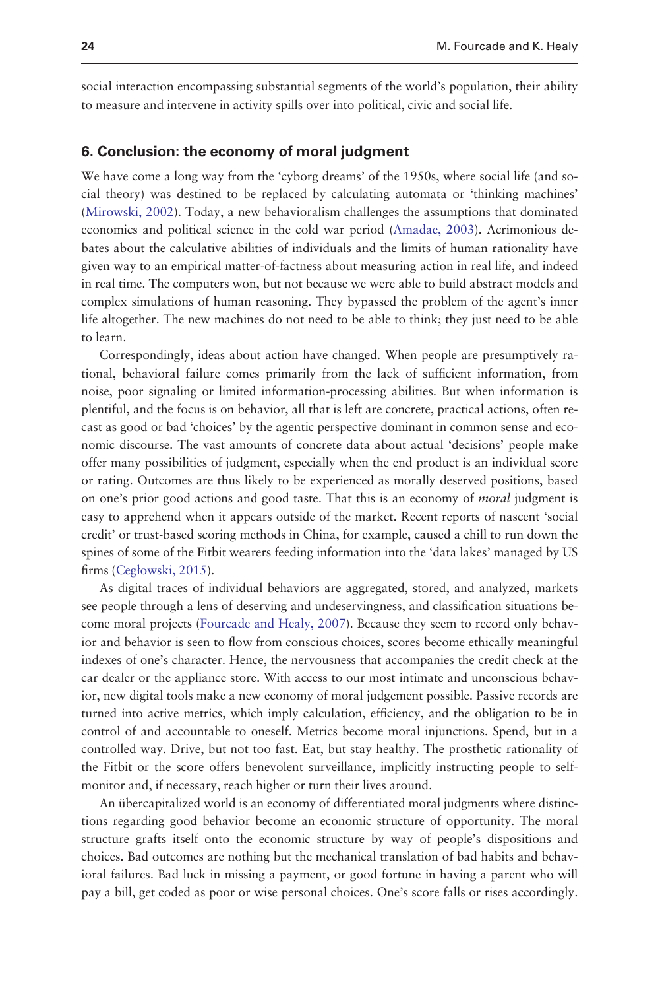social interaction encompassing substantial segments of the world's population, their ability to measure and intervene in activity spills over into political, civic and social life.

# 6. Conclusion: the economy of moral judgment

We have come a long way from the 'cyborg dreams' of the 1950s, where social life (and social theory) was destined to be replaced by calculating automata or 'thinking machines' [\(Mirowski, 2002\)](#page-19-0). Today, a new behavioralism challenges the assumptions that dominated economics and political science in the cold war period ([Amadae, 2003](#page-17-0)). Acrimonious debates about the calculative abilities of individuals and the limits of human rationality have given way to an empirical matter-of-factness about measuring action in real life, and indeed in real time. The computers won, but not because we were able to build abstract models and complex simulations of human reasoning. They bypassed the problem of the agent's inner life altogether. The new machines do not need to be able to think; they just need to be able to learn.

Correspondingly, ideas about action have changed. When people are presumptively rational, behavioral failure comes primarily from the lack of sufficient information, from noise, poor signaling or limited information-processing abilities. But when information is plentiful, and the focus is on behavior, all that is left are concrete, practical actions, often recast as good or bad 'choices' by the agentic perspective dominant in common sense and economic discourse. The vast amounts of concrete data about actual 'decisions' people make offer many possibilities of judgment, especially when the end product is an individual score or rating. Outcomes are thus likely to be experienced as morally deserved positions, based on one's prior good actions and good taste. That this is an economy of *moral* judgment is easy to apprehend when it appears outside of the market. Recent reports of nascent 'social credit' or trust-based scoring methods in China, for example, caused a chill to run down the spines of some of the Fitbit wearers feeding information into the 'data lakes' managed by US firms ([Ceg](#page-17-0)ł[owski, 2015\)](#page-17-0).

As digital traces of individual behaviors are aggregated, stored, and analyzed, markets see people through a lens of deserving and undeservingness, and classification situations become moral projects [\(Fourcade and Healy, 2007\)](#page-18-0). Because they seem to record only behavior and behavior is seen to flow from conscious choices, scores become ethically meaningful indexes of one's character. Hence, the nervousness that accompanies the credit check at the car dealer or the appliance store. With access to our most intimate and unconscious behavior, new digital tools make a new economy of moral judgement possible. Passive records are turned into active metrics, which imply calculation, efficiency, and the obligation to be in control of and accountable to oneself. Metrics become moral injunctions. Spend, but in a controlled way. Drive, but not too fast. Eat, but stay healthy. The prosthetic rationality of the Fitbit or the score offers benevolent surveillance, implicitly instructing people to selfmonitor and, if necessary, reach higher or turn their lives around.

An übercapitalized world is an economy of differentiated moral judgments where distinctions regarding good behavior become an economic structure of opportunity. The moral structure grafts itself onto the economic structure by way of people's dispositions and choices. Bad outcomes are nothing but the mechanical translation of bad habits and behavioral failures. Bad luck in missing a payment, or good fortune in having a parent who will pay a bill, get coded as poor or wise personal choices. One's score falls or rises accordingly.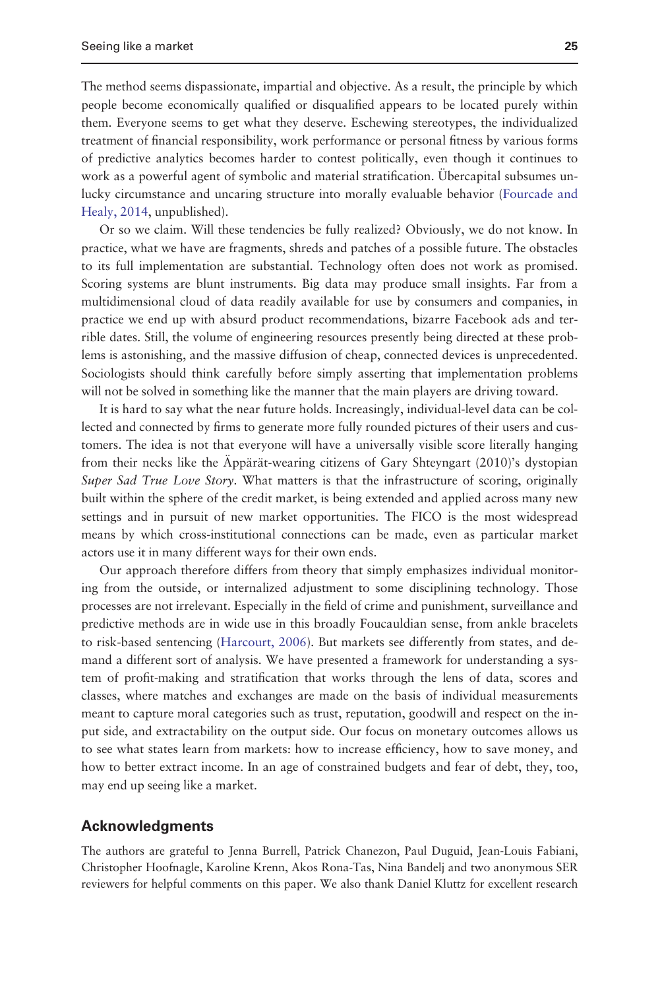The method seems dispassionate, impartial and objective. As a result, the principle by which people become economically qualified or disqualified appears to be located purely within them. Everyone seems to get what they deserve. Eschewing stereotypes, the individualized treatment of financial responsibility, work performance or personal fitness by various forms of predictive analytics becomes harder to contest politically, even though it continues to work as a powerful agent of symbolic and material stratification. Übercapital subsumes unlucky circumstance and uncaring structure into morally evaluable behavior [\(Fourcade and](#page-18-0) [Healy, 2014](#page-18-0), unpublished).

Or so we claim. Will these tendencies be fully realized? Obviously, we do not know. In practice, what we have are fragments, shreds and patches of a possible future. The obstacles to its full implementation are substantial. Technology often does not work as promised. Scoring systems are blunt instruments. Big data may produce small insights. Far from a multidimensional cloud of data readily available for use by consumers and companies, in practice we end up with absurd product recommendations, bizarre Facebook ads and terrible dates. Still, the volume of engineering resources presently being directed at these problems is astonishing, and the massive diffusion of cheap, connected devices is unprecedented. Sociologists should think carefully before simply asserting that implementation problems will not be solved in something like the manner that the main players are driving toward.

It is hard to say what the near future holds. Increasingly, individual-level data can be collected and connected by firms to generate more fully rounded pictures of their users and customers. The idea is not that everyone will have a universally visible score literally hanging from their necks like the Appärät-wearing citizens of Gary Shteyngart (2010)'s dystopian Super Sad True Love Story. What matters is that the infrastructure of scoring, originally built within the sphere of the credit market, is being extended and applied across many new settings and in pursuit of new market opportunities. The FICO is the most widespread means by which cross-institutional connections can be made, even as particular market actors use it in many different ways for their own ends.

Our approach therefore differs from theory that simply emphasizes individual monitoring from the outside, or internalized adjustment to some disciplining technology. Those processes are not irrelevant. Especially in the field of crime and punishment, surveillance and predictive methods are in wide use in this broadly Foucauldian sense, from ankle bracelets to risk-based sentencing ([Harcourt, 2006\)](#page-18-0). But markets see differently from states, and demand a different sort of analysis. We have presented a framework for understanding a system of profit-making and stratification that works through the lens of data, scores and classes, where matches and exchanges are made on the basis of individual measurements meant to capture moral categories such as trust, reputation, goodwill and respect on the input side, and extractability on the output side. Our focus on monetary outcomes allows us to see what states learn from markets: how to increase efficiency, how to save money, and how to better extract income. In an age of constrained budgets and fear of debt, they, too, may end up seeing like a market.

# Acknowledgments

The authors are grateful to Jenna Burrell, Patrick Chanezon, Paul Duguid, Jean-Louis Fabiani, Christopher Hoofnagle, Karoline Krenn, Akos Rona-Tas, Nina Bandelj and two anonymous SER reviewers for helpful comments on this paper. We also thank Daniel Kluttz for excellent research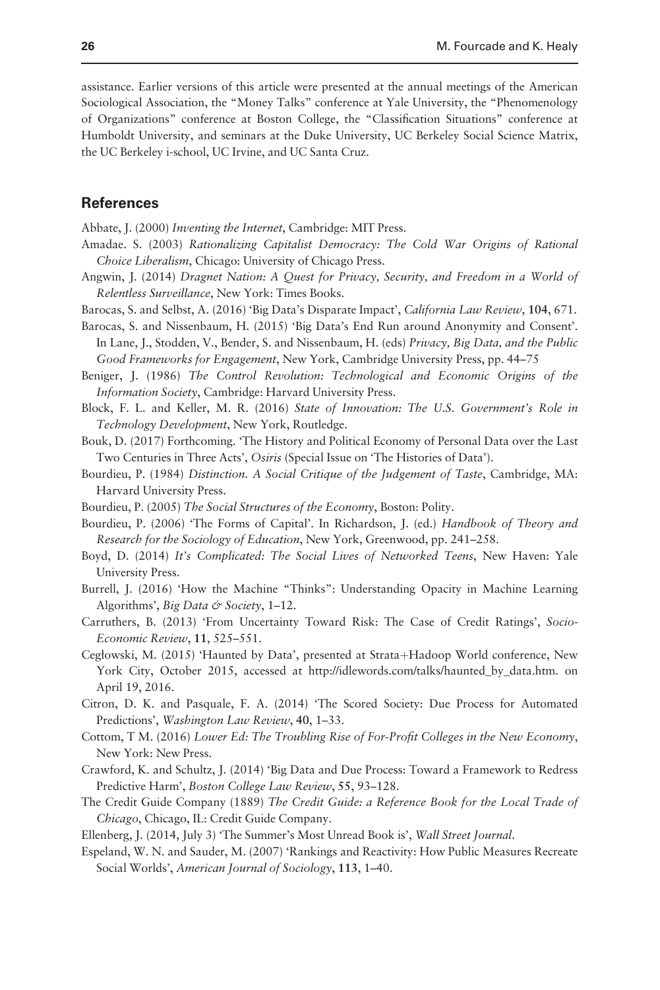<span id="page-17-0"></span>assistance. Earlier versions of this article were presented at the annual meetings of the American Sociological Association, the "Money Talks" conference at Yale University, the "Phenomenology of Organizations" conference at Boston College, the "Classification Situations" conference at Humboldt University, and seminars at the Duke University, UC Berkeley Social Science Matrix, the UC Berkeley i-school, UC Irvine, and UC Santa Cruz.

## References

Abbate, J. (2000) Inventing the Internet, Cambridge: MIT Press.

- Amadae. S. (2003) Rationalizing Capitalist Democracy: The Cold War Origins of Rational Choice Liberalism, Chicago: University of Chicago Press.
- Angwin, J. (2014) Dragnet Nation: A Quest for Privacy, Security, and Freedom in a World of Relentless Surveillance, New York: Times Books.
- Barocas, S. and Selbst, A. (2016) 'Big Data's Disparate Impact', California Law Review, 104, 671.
- Barocas, S. and Nissenbaum, H. (2015) 'Big Data's End Run around Anonymity and Consent'. In Lane, J., Stodden, V., Bender, S. and Nissenbaum, H. (eds) Privacy, Big Data, and the Public Good Frameworks for Engagement, New York, Cambridge University Press, pp. 44–75
- Beniger, J. (1986) The Control Revolution: Technological and Economic Origins of the Information Society, Cambridge: Harvard University Press.
- Block, F. L. and Keller, M. R. (2016) State of Innovation: The U.S. Government's Role in Technology Development, New York, Routledge.
- Bouk, D. (2017) Forthcoming. 'The History and Political Economy of Personal Data over the Last Two Centuries in Three Acts', Osiris (Special Issue on 'The Histories of Data').
- Bourdieu, P. (1984) Distinction. A Social Critique of the Judgement of Taste, Cambridge, MA: Harvard University Press.
- Bourdieu, P. (2005) The Social Structures of the Economy, Boston: Polity.
- Bourdieu, P. (2006) 'The Forms of Capital'. In Richardson, J. (ed.) Handbook of Theory and Research for the Sociology of Education, New York, Greenwood, pp. 241–258.
- Boyd, D. (2014) It's Complicated: The Social Lives of Networked Teens, New Haven: Yale University Press.
- Burrell, J. (2016) 'How the Machine "Thinks": Understanding Opacity in Machine Learning Algorithms', Big Data & Society, 1-12.
- Carruthers, B. (2013) 'From Uncertainty Toward Risk: The Case of Credit Ratings', Socio-Economic Review, 11, 525–551.
- Cegłowski, M. (2015) 'Haunted by Data', presented at Strata+Hadoop World conference, New York City, October 2015, accessed at [http://idlewords.com/talks/haunted\\_by\\_data.htm](http://idlewords.com/talks/haunted_by_data.htm). on April 19, 2016.
- Citron, D. K. and Pasquale, F. A. (2014) 'The Scored Society: Due Process for Automated Predictions', Washington Law Review, 40, 1–33.
- Cottom, T M. (2016) Lower Ed: The Troubling Rise of For-Profit Colleges in the New Economy, New York: New Press.
- Crawford, K. and Schultz, J. (2014) 'Big Data and Due Process: Toward a Framework to Redress Predictive Harm', Boston College Law Review, 55, 93-128.
- The Credit Guide Company (1889) The Credit Guide: a Reference Book for the Local Trade of Chicago, Chicago, IL: Credit Guide Company.
- Ellenberg, J. (2014, July 3) 'The Summer's Most Unread Book is', Wall Street Journal.
- Espeland, W. N. and Sauder, M. (2007) 'Rankings and Reactivity: How Public Measures Recreate Social Worlds', American Journal of Sociology, 113, 1–40.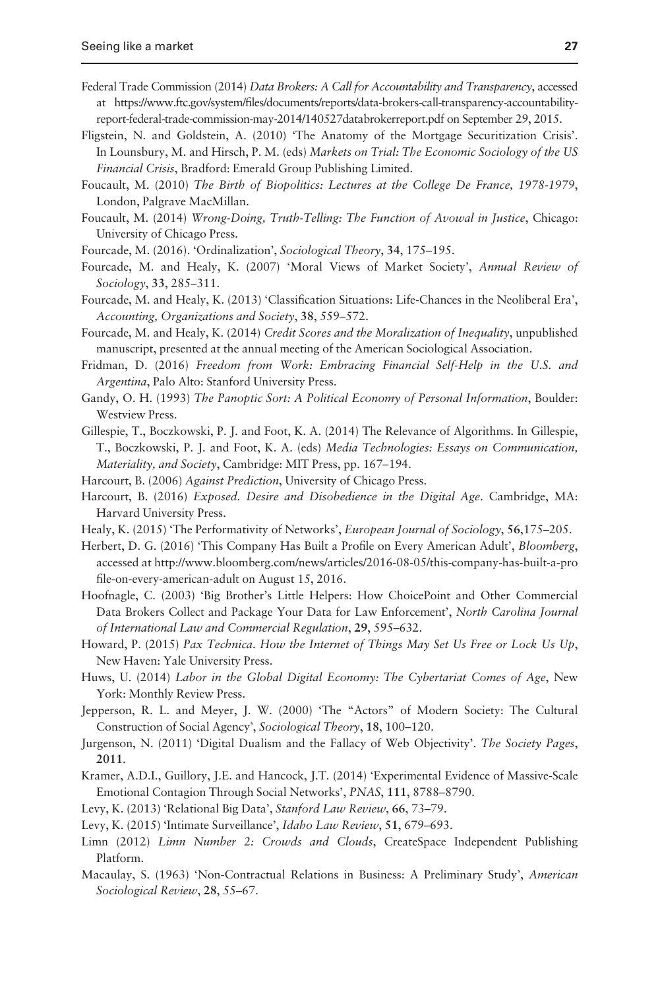- <span id="page-18-0"></span>Federal Trade Commission (2014) Data Brokers: A Call for Accountability and Transparency, accessed at [https://www.ftc.gov/system/files/documents/reports/data-brokers-call-transparency-accountability](https://www.ftc.gov/system/files/documents/reports/data-brokers-call-transparency-accountability-report-federal-trade-commission-may-2014/140527databrokerreport.pdf)[report-federal-trade-commission-may-2014/140527databrokerreport.pdf](https://www.ftc.gov/system/files/documents/reports/data-brokers-call-transparency-accountability-report-federal-trade-commission-may-2014/140527databrokerreport.pdf) on September 29, 2015.
- Fligstein, N. and Goldstein, A. (2010) 'The Anatomy of the Mortgage Securitization Crisis'. In Lounsbury, M. and Hirsch, P. M. (eds) Markets on Trial: The Economic Sociology of the US Financial Crisis, Bradford: Emerald Group Publishing Limited.
- Foucault, M. (2010) The Birth of Biopolitics: Lectures at the College De France, 1978-1979, London, Palgrave MacMillan.
- Foucault, M. (2014) Wrong-Doing, Truth-Telling: The Function of Avowal in Justice, Chicago: University of Chicago Press.
- Fourcade, M. (2016). 'Ordinalization', Sociological Theory, 34, 175–195.
- Fourcade, M. and Healy, K. (2007) 'Moral Views of Market Society', Annual Review of Sociology, 33, 285–311.
- Fourcade, M. and Healy, K. (2013) 'Classification Situations: Life-Chances in the Neoliberal Era', Accounting, Organizations and Society, 38, 559–572.
- Fourcade, M. and Healy, K. (2014) Credit Scores and the Moralization of Inequality, unpublished manuscript, presented at the annual meeting of the American Sociological Association.
- Fridman, D. (2016) Freedom from Work: Embracing Financial Self-Help in the U.S. and Argentina, Palo Alto: Stanford University Press.
- Gandy, O. H. (1993) The Panoptic Sort: A Political Economy of Personal Information, Boulder: Westview Press.
- Gillespie, T., Boczkowski, P. J. and Foot, K. A. (2014) The Relevance of Algorithms. In Gillespie, T., Boczkowski, P. J. and Foot, K. A. (eds) Media Technologies: Essays on Communication, Materiality, and Society, Cambridge: MIT Press, pp. 167–194.
- Harcourt, B. (2006) Against Prediction, University of Chicago Press.
- Harcourt, B. (2016) Exposed. Desire and Disobedience in the Digital Age. Cambridge, MA: Harvard University Press.
- Healy, K. (2015) 'The Performativity of Networks', *European Journal of Sociology*, 56,175–205.
- Herbert, D. G. (2016) 'This Company Has Built a Profile on Every American Adult', Bloomberg, accessed at [http://www.bloomberg.com/news/articles/2016-08-05/this-company-has-built-a-pro](http://www.bloomberg.com/news/articles/2016-08-05/this-company-has-built-a-profile-on-every-american-adult) [file-on-every-american-adult](http://www.bloomberg.com/news/articles/2016-08-05/this-company-has-built-a-profile-on-every-american-adult) on August 15, 2016.
- Hoofnagle, C. (2003) 'Big Brother's Little Helpers: How ChoicePoint and Other Commercial Data Brokers Collect and Package Your Data for Law Enforcement', North Carolina Journal of International Law and Commercial Regulation, 29, 595–632.
- Howard, P. (2015) Pax Technica. How the Internet of Things May Set Us Free or Lock Us Up, New Haven: Yale University Press.
- Huws, U. (2014) Labor in the Global Digital Economy: The Cybertariat Comes of Age, New York: Monthly Review Press.
- Jepperson, R. L. and Meyer, J. W. (2000) 'The "Actors" of Modern Society: The Cultural Construction of Social Agency', Sociological Theory, 18, 100–120.
- Jurgenson, N. (2011) 'Digital Dualism and the Fallacy of Web Objectivity'. The Society Pages, 2011.
- Kramer, A.D.I., Guillory, J.E. and Hancock, J.T. (2014) 'Experimental Evidence of Massive-Scale Emotional Contagion Through Social Networks', PNAS, 111, 8788–8790.
- Levy, K. (2013) 'Relational Big Data', Stanford Law Review, 66, 73-79.
- Levy, K. (2015) 'Intimate Surveillance', Idaho Law Review, 51, 679-693.
- Limn (2012) Limn Number 2: Crowds and Clouds, CreateSpace Independent Publishing Platform.
- Macaulay, S. (1963) 'Non-Contractual Relations in Business: A Preliminary Study', American Sociological Review, 28, 55–67.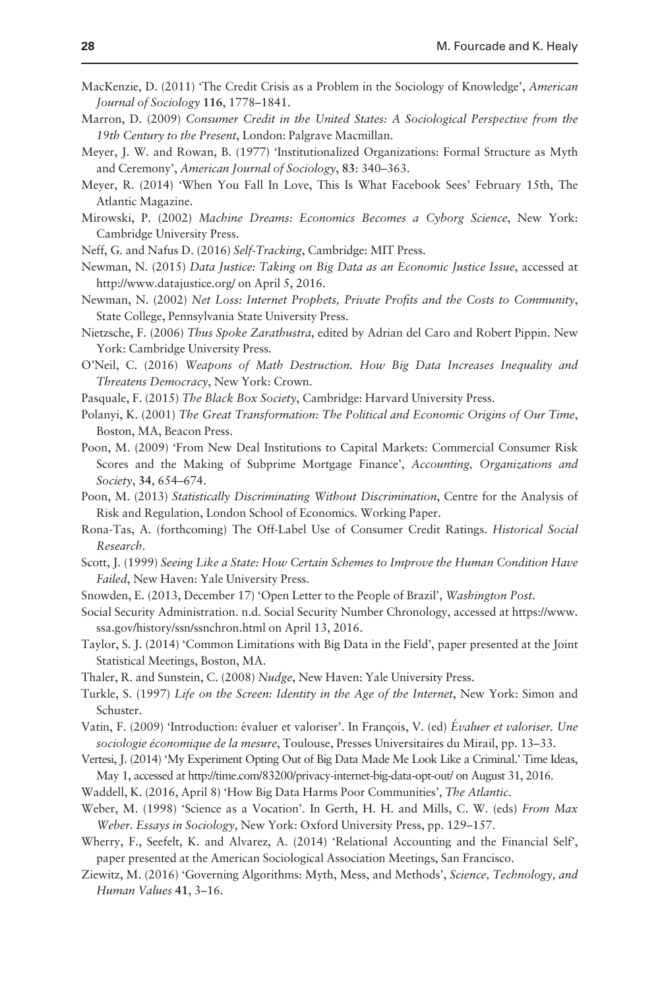- <span id="page-19-0"></span>MacKenzie, D. (2011) 'The Credit Crisis as a Problem in the Sociology of Knowledge', American Journal of Sociology 116, 1778–1841.
- Marron, D. (2009) Consumer Credit in the United States: A Sociological Perspective from the 19th Century to the Present, London: Palgrave Macmillan.
- Meyer, J. W. and Rowan, B. (1977) 'Institutionalized Organizations: Formal Structure as Myth and Ceremony', American Journal of Sociology, 83: 340–363.
- Meyer, R. (2014) 'When You Fall In Love, This Is What Facebook Sees' February 15th, The Atlantic Magazine.
- Mirowski, P. (2002) Machine Dreams: Economics Becomes a Cyborg Science, New York: Cambridge University Press.
- Neff, G. and Nafus D. (2016) Self-Tracking, Cambridge: MIT Press.
- Newman, N. (2015) Data Justice: Taking on Big Data as an Economic Justice Issue, accessed at <http://www.datajustice.org/> on April 5, 2016.
- Newman, N. (2002) Net Loss: Internet Prophets, Private Profits and the Costs to Community, State College, Pennsylvania State University Press.
- Nietzsche, F. (2006) Thus Spoke Zarathustra, edited by Adrian del Caro and Robert Pippin. New York: Cambridge University Press.
- O'Neil, C. (2016) Weapons of Math Destruction. How Big Data Increases Inequality and Threatens Democracy, New York: Crown.
- Pasquale, F. (2015) The Black Box Society, Cambridge: Harvard University Press.
- Polanyi, K. (2001) The Great Transformation: The Political and Economic Origins of Our Time, Boston, MA, Beacon Press.
- Poon, M. (2009) 'From New Deal Institutions to Capital Markets: Commercial Consumer Risk Scores and the Making of Subprime Mortgage Finance', Accounting, Organizations and Society, 34, 654–674.
- Poon, M. (2013) Statistically Discriminating Without Discrimination, Centre for the Analysis of Risk and Regulation, London School of Economics. Working Paper.
- Rona-Tas, A. (forthcoming) The Off-Label Use of Consumer Credit Ratings. Historical Social Research.
- Scott, J. (1999) Seeing Like a State: How Certain Schemes to Improve the Human Condition Have Failed, New Haven: Yale University Press.
- Snowden, E. (2013, December 17) 'Open Letter to the People of Brazil', Washington Post.
- Social Security Administration. n.d. Social Security Number Chronology, accessed at [https://www.](https://www.ssa.gov/history/ssn/ssnchron.html) [ssa.gov/history/ssn/ssnchron.html](https://www.ssa.gov/history/ssn/ssnchron.html) on April 13, 2016.
- Taylor, S. J. (2014) 'Common Limitations with Big Data in the Field', paper presented at the Joint Statistical Meetings, Boston, MA.
- Thaler, R. and Sunstein, C. (2008) Nudge, New Haven: Yale University Press.
- Turkle, S. (1997) Life on the Screen: Identity in the Age of the Internet, New York: Simon and Schuster.
- Vatin, F. (2009) 'Introduction: évaluer et valoriser'. In François, V. (ed) Évaluer et valoriser. Une sociologie économique de la mesure, Toulouse, Presses Universitaires du Mirail, pp. 13–33.
- Vertesi, J. (2014) 'My Experiment Opting Out of Big Data Made Me Look Like a Criminal.' Time Ideas, May 1, accessed at<http://time.com/83200/privacy-internet-big-data-opt-out/> on August 31, 2016.
- Waddell, K. (2016, April 8) 'How Big Data Harms Poor Communities', The Atlantic.
- Weber, M. (1998) 'Science as a Vocation'. In Gerth, H. H. and Mills, C. W. (eds) From Max Weber. Essays in Sociology, New York: Oxford University Press, pp. 129–157.
- Wherry, F., Seefelt, K. and Alvarez, A. (2014) 'Relational Accounting and the Financial Self', paper presented at the American Sociological Association Meetings, San Francisco.
- Ziewitz, M. (2016) 'Governing Algorithms: Myth, Mess, and Methods', Science, Technology, and Human Values 41, 3–16.